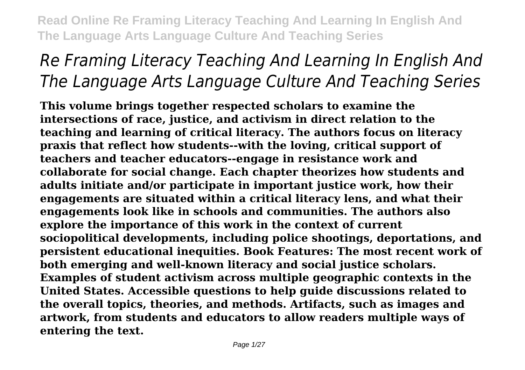# *Re Framing Literacy Teaching And Learning In English And The Language Arts Language Culture And Teaching Series*

**This volume brings together respected scholars to examine the intersections of race, justice, and activism in direct relation to the teaching and learning of critical literacy. The authors focus on literacy praxis that reflect how students--with the loving, critical support of teachers and teacher educators--engage in resistance work and collaborate for social change. Each chapter theorizes how students and adults initiate and/or participate in important justice work, how their engagements are situated within a critical literacy lens, and what their engagements look like in schools and communities. The authors also explore the importance of this work in the context of current sociopolitical developments, including police shootings, deportations, and persistent educational inequities. Book Features: The most recent work of both emerging and well-known literacy and social justice scholars. Examples of student activism across multiple geographic contexts in the United States. Accessible questions to help guide discussions related to the overall topics, theories, and methods. Artifacts, such as images and artwork, from students and educators to allow readers multiple ways of entering the text.**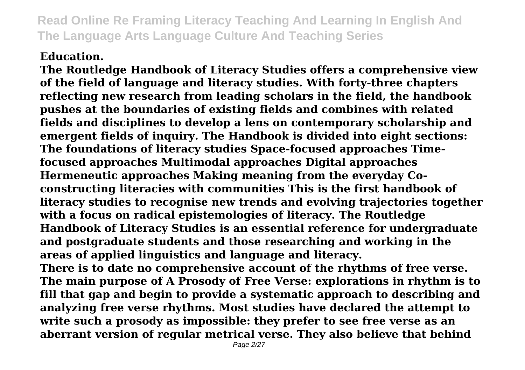#### **Education.**

**The Routledge Handbook of Literacy Studies offers a comprehensive view of the field of language and literacy studies. With forty-three chapters reflecting new research from leading scholars in the field, the handbook pushes at the boundaries of existing fields and combines with related fields and disciplines to develop a lens on contemporary scholarship and emergent fields of inquiry. The Handbook is divided into eight sections: The foundations of literacy studies Space-focused approaches Timefocused approaches Multimodal approaches Digital approaches Hermeneutic approaches Making meaning from the everyday Coconstructing literacies with communities This is the first handbook of literacy studies to recognise new trends and evolving trajectories together with a focus on radical epistemologies of literacy. The Routledge Handbook of Literacy Studies is an essential reference for undergraduate and postgraduate students and those researching and working in the areas of applied linguistics and language and literacy.**

**There is to date no comprehensive account of the rhythms of free verse. The main purpose of A Prosody of Free Verse: explorations in rhythm is to fill that gap and begin to provide a systematic approach to describing and analyzing free verse rhythms. Most studies have declared the attempt to write such a prosody as impossible: they prefer to see free verse as an aberrant version of regular metrical verse. They also believe that behind**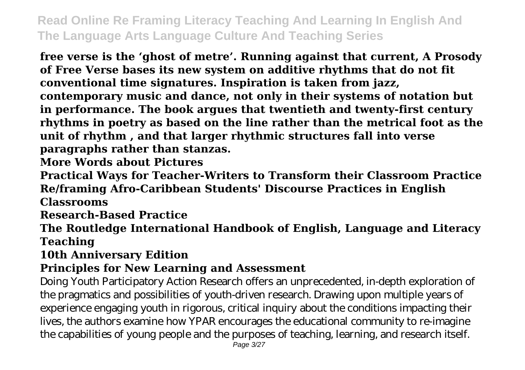**free verse is the 'ghost of metre'. Running against that current, A Prosody of Free Verse bases its new system on additive rhythms that do not fit conventional time signatures. Inspiration is taken from jazz, contemporary music and dance, not only in their systems of notation but in performance. The book argues that twentieth and twenty-first century rhythms in poetry as based on the line rather than the metrical foot as the unit of rhythm , and that larger rhythmic structures fall into verse paragraphs rather than stanzas.**

**More Words about Pictures**

**Practical Ways for Teacher-Writers to Transform their Classroom Practice Re/framing Afro-Caribbean Students' Discourse Practices in English Classrooms**

**Research-Based Practice**

**The Routledge International Handbook of English, Language and Literacy Teaching**

#### **10th Anniversary Edition**

#### **Principles for New Learning and Assessment**

Doing Youth Participatory Action Research offers an unprecedented, in-depth exploration of the pragmatics and possibilities of youth-driven research. Drawing upon multiple years of experience engaging youth in rigorous, critical inquiry about the conditions impacting their lives, the authors examine how YPAR encourages the educational community to re-imagine the capabilities of young people and the purposes of teaching, learning, and research itself.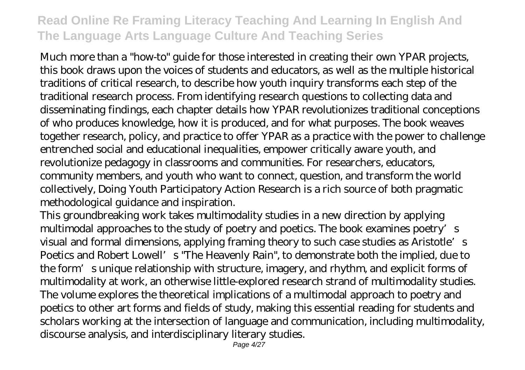Much more than a "how-to" guide for those interested in creating their own YPAR projects, this book draws upon the voices of students and educators, as well as the multiple historical traditions of critical research, to describe how youth inquiry transforms each step of the traditional research process. From identifying research questions to collecting data and disseminating findings, each chapter details how YPAR revolutionizes traditional conceptions of who produces knowledge, how it is produced, and for what purposes. The book weaves together research, policy, and practice to offer YPAR as a practice with the power to challenge entrenched social and educational inequalities, empower critically aware youth, and revolutionize pedagogy in classrooms and communities. For researchers, educators, community members, and youth who want to connect, question, and transform the world collectively, Doing Youth Participatory Action Research is a rich source of both pragmatic methodological guidance and inspiration.

This groundbreaking work takes multimodality studies in a new direction by applying multimodal approaches to the study of poetry and poetics. The book examines poetry's visual and formal dimensions, applying framing theory to such case studies as Aristotle's Poetics and Robert Lowell's "The Heavenly Rain", to demonstrate both the implied, due to the form's unique relationship with structure, imagery, and rhythm, and explicit forms of multimodality at work, an otherwise little-explored research strand of multimodality studies. The volume explores the theoretical implications of a multimodal approach to poetry and poetics to other art forms and fields of study, making this essential reading for students and scholars working at the intersection of language and communication, including multimodality, discourse analysis, and interdisciplinary literary studies.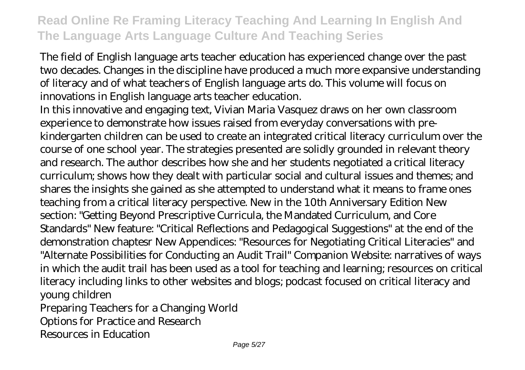The field of English language arts teacher education has experienced change over the past two decades. Changes in the discipline have produced a much more expansive understanding of literacy and of what teachers of English language arts do. This volume will focus on innovations in English language arts teacher education.

In this innovative and engaging text, Vivian Maria Vasquez draws on her own classroom experience to demonstrate how issues raised from everyday conversations with prekindergarten children can be used to create an integrated critical literacy curriculum over the course of one school year. The strategies presented are solidly grounded in relevant theory and research. The author describes how she and her students negotiated a critical literacy curriculum; shows how they dealt with particular social and cultural issues and themes; and shares the insights she gained as she attempted to understand what it means to frame ones teaching from a critical literacy perspective. New in the 10th Anniversary Edition New section: "Getting Beyond Prescriptive Curricula, the Mandated Curriculum, and Core Standards" New feature: "Critical Reflections and Pedagogical Suggestions" at the end of the demonstration chaptesr New Appendices: "Resources for Negotiating Critical Literacies" and "Alternate Possibilities for Conducting an Audit Trail" Companion Website: narratives of ways in which the audit trail has been used as a tool for teaching and learning; resources on critical literacy including links to other websites and blogs; podcast focused on critical literacy and young children

Preparing Teachers for a Changing World Options for Practice and Research

Resources in Education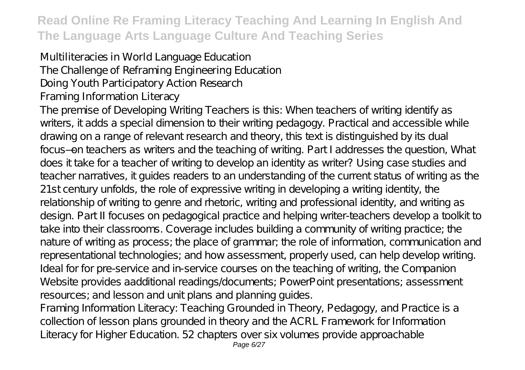#### Multiliteracies in World Language Education The Challenge of Reframing Engineering Education Doing Youth Participatory Action Research Framing Information Literacy

The premise of Developing Writing Teachers is this: When teachers of writing identify as writers, it adds a special dimension to their writing pedagogy. Practical and accessible while drawing on a range of relevant research and theory, this text is distinguished by its dual focus—on teachers as writers and the teaching of writing. Part I addresses the question, What does it take for a teacher of writing to develop an identity as writer? Using case studies and teacher narratives, it guides readers to an understanding of the current status of writing as the 21st century unfolds, the role of expressive writing in developing a writing identity, the relationship of writing to genre and rhetoric, writing and professional identity, and writing as design. Part II focuses on pedagogical practice and helping writer-teachers develop a toolkit to take into their classrooms. Coverage includes building a community of writing practice; the nature of writing as process; the place of grammar; the role of information, communication and representational technologies; and how assessment, properly used, can help develop writing. Ideal for for pre-service and in-service courses on the teaching of writing, the Companion Website provides aadditional readings/documents; PowerPoint presentations; assessment resources; and lesson and unit plans and planning guides.

Framing Information Literacy: Teaching Grounded in Theory, Pedagogy, and Practice is a collection of lesson plans grounded in theory and the ACRL Framework for Information Literacy for Higher Education. 52 chapters over six volumes provide approachable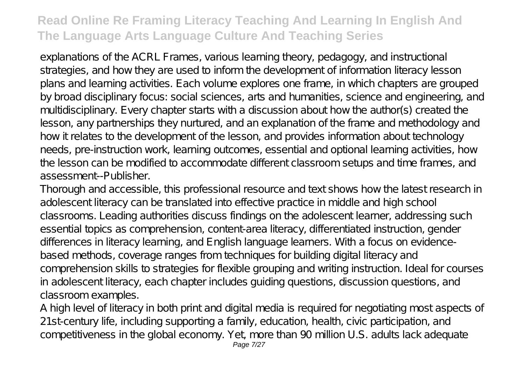explanations of the ACRL Frames, various learning theory, pedagogy, and instructional strategies, and how they are used to inform the development of information literacy lesson plans and learning activities. Each volume explores one frame, in which chapters are grouped by broad disciplinary focus: social sciences, arts and humanities, science and engineering, and multidisciplinary. Every chapter starts with a discussion about how the author(s) created the lesson, any partnerships they nurtured, and an explanation of the frame and methodology and how it relates to the development of the lesson, and provides information about technology needs, pre-instruction work, learning outcomes, essential and optional learning activities, how the lesson can be modified to accommodate different classroom setups and time frames, and assessment--Publisher.

Thorough and accessible, this professional resource and text shows how the latest research in adolescent literacy can be translated into effective practice in middle and high school classrooms. Leading authorities discuss findings on the adolescent learner, addressing such essential topics as comprehension, content-area literacy, differentiated instruction, gender differences in literacy learning, and English language learners. With a focus on evidencebased methods, coverage ranges from techniques for building digital literacy and comprehension skills to strategies for flexible grouping and writing instruction. Ideal for courses in adolescent literacy, each chapter includes guiding questions, discussion questions, and classroom examples.

A high level of literacy in both print and digital media is required for negotiating most aspects of 21 st-century life, including supporting a family, education, health, civic participation, and competitiveness in the global economy. Yet, more than 90 million U.S. adults lack adequate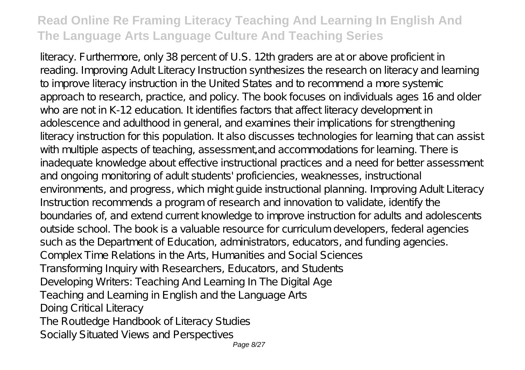literacy. Furthermore, only 38 percent of U.S. 12th graders are at or above proficient in reading. Improving Adult Literacy Instruction synthesizes the research on literacy and learning to improve literacy instruction in the United States and to recommend a more systemic approach to research, practice, and policy. The book focuses on individuals ages 16 and older who are not in K-12 education. It identifies factors that affect literacy development in adolescence and adulthood in general, and examines their implications for strengthening literacy instruction for this population. It also discusses technologies for learning that can assist with multiple aspects of teaching, assessment, and accommodations for learning. There is inadequate knowledge about effective instructional practices and a need for better assessment and ongoing monitoring of adult students' proficiencies, weaknesses, instructional environments, and progress, which might guide instructional planning. Improving Adult Literacy Instruction recommends a program of research and innovation to validate, identify the boundaries of, and extend current knowledge to improve instruction for adults and adolescents outside school. The book is a valuable resource for curriculum developers, federal agencies such as the Department of Education, administrators, educators, and funding agencies. Complex Time Relations in the Arts, Humanities and Social Sciences Transforming Inquiry with Researchers, Educators, and Students Developing Writers: Teaching And Learning In The Digital Age Teaching and Learning in English and the Language Arts Doing Critical Literacy The Routledge Handbook of Literacy Studies Socially Situated Views and Perspectives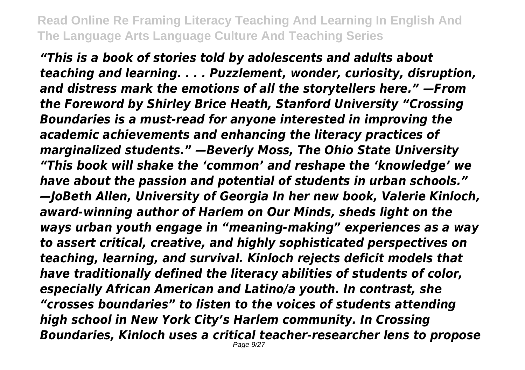*"This is a book of stories told by adolescents and adults about teaching and learning. . . . Puzzlement, wonder, curiosity, disruption, and distress mark the emotions of all the storytellers here." —From the Foreword by Shirley Brice Heath, Stanford University "Crossing Boundaries is a must-read for anyone interested in improving the academic achievements and enhancing the literacy practices of marginalized students." —Beverly Moss, The Ohio State University "This book will shake the 'common' and reshape the 'knowledge' we have about the passion and potential of students in urban schools." —JoBeth Allen, University of Georgia In her new book, Valerie Kinloch, award-winning author of Harlem on Our Minds, sheds light on the ways urban youth engage in "meaning-making" experiences as a way to assert critical, creative, and highly sophisticated perspectives on teaching, learning, and survival. Kinloch rejects deficit models that have traditionally defined the literacy abilities of students of color, especially African American and Latino/a youth. In contrast, she "crosses boundaries" to listen to the voices of students attending high school in New York City's Harlem community. In Crossing Boundaries, Kinloch uses a critical teacher-researcher lens to propose* Page 9/27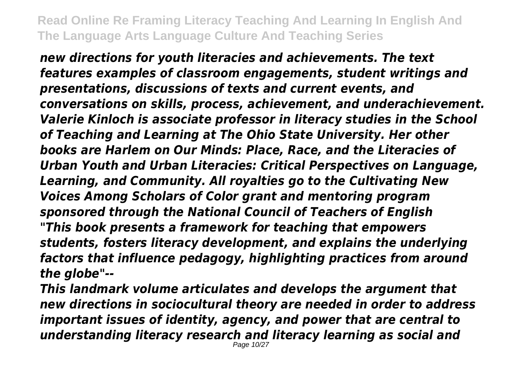*new directions for youth literacies and achievements. The text features examples of classroom engagements, student writings and presentations, discussions of texts and current events, and conversations on skills, process, achievement, and underachievement. Valerie Kinloch is associate professor in literacy studies in the School of Teaching and Learning at The Ohio State University. Her other books are Harlem on Our Minds: Place, Race, and the Literacies of Urban Youth and Urban Literacies: Critical Perspectives on Language, Learning, and Community. All royalties go to the Cultivating New Voices Among Scholars of Color grant and mentoring program sponsored through the National Council of Teachers of English "This book presents a framework for teaching that empowers students, fosters literacy development, and explains the underlying factors that influence pedagogy, highlighting practices from around the globe"--*

*This landmark volume articulates and develops the argument that new directions in sociocultural theory are needed in order to address important issues of identity, agency, and power that are central to understanding literacy research and literacy learning as social and* Page 10/27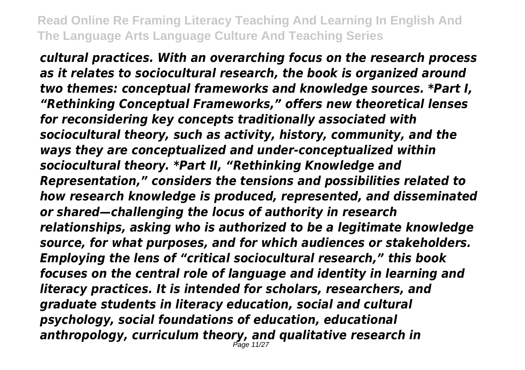*cultural practices. With an overarching focus on the research process as it relates to sociocultural research, the book is organized around two themes: conceptual frameworks and knowledge sources. \*Part I, "Rethinking Conceptual Frameworks," offers new theoretical lenses for reconsidering key concepts traditionally associated with sociocultural theory, such as activity, history, community, and the ways they are conceptualized and under-conceptualized within sociocultural theory. \*Part II, "Rethinking Knowledge and Representation," considers the tensions and possibilities related to how research knowledge is produced, represented, and disseminated or shared—challenging the locus of authority in research relationships, asking who is authorized to be a legitimate knowledge source, for what purposes, and for which audiences or stakeholders. Employing the lens of "critical sociocultural research," this book focuses on the central role of language and identity in learning and literacy practices. It is intended for scholars, researchers, and graduate students in literacy education, social and cultural psychology, social foundations of education, educational anthropology, curriculum theory, and qualitative research in* Page 11/27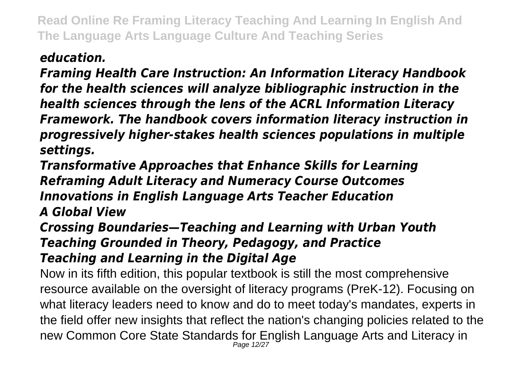### *education.*

*Framing Health Care Instruction: An Information Literacy Handbook for the health sciences will analyze bibliographic instruction in the health sciences through the lens of the ACRL Information Literacy Framework. The handbook covers information literacy instruction in progressively higher-stakes health sciences populations in multiple settings.*

*Transformative Approaches that Enhance Skills for Learning Reframing Adult Literacy and Numeracy Course Outcomes Innovations in English Language Arts Teacher Education A Global View*

*Crossing Boundaries—Teaching and Learning with Urban Youth Teaching Grounded in Theory, Pedagogy, and Practice Teaching and Learning in the Digital Age*

Now in its fifth edition, this popular textbook is still the most comprehensive resource available on the oversight of literacy programs (PreK-12). Focusing on what literacy leaders need to know and do to meet today's mandates, experts in the field offer new insights that reflect the nation's changing policies related to the new Common Core State Standards for English Language Arts and Literacy in Page 12/27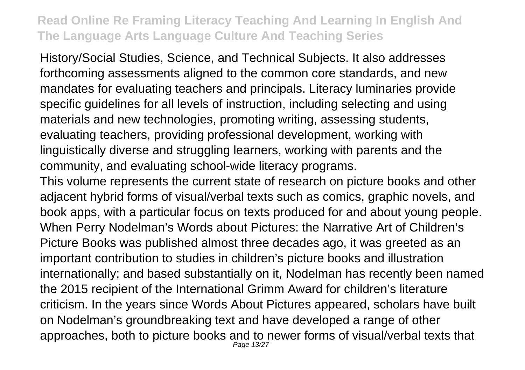History/Social Studies, Science, and Technical Subjects. It also addresses forthcoming assessments aligned to the common core standards, and new mandates for evaluating teachers and principals. Literacy luminaries provide specific guidelines for all levels of instruction, including selecting and using materials and new technologies, promoting writing, assessing students, evaluating teachers, providing professional development, working with linguistically diverse and struggling learners, working with parents and the community, and evaluating school-wide literacy programs.

This volume represents the current state of research on picture books and other adjacent hybrid forms of visual/verbal texts such as comics, graphic novels, and book apps, with a particular focus on texts produced for and about young people. When Perry Nodelman's Words about Pictures: the Narrative Art of Children's Picture Books was published almost three decades ago, it was greeted as an important contribution to studies in children's picture books and illustration internationally; and based substantially on it, Nodelman has recently been named the 2015 recipient of the International Grimm Award for children's literature criticism. In the years since Words About Pictures appeared, scholars have built on Nodelman's groundbreaking text and have developed a range of other approaches, both to picture books and to newer forms of visual/verbal texts that Page 13/27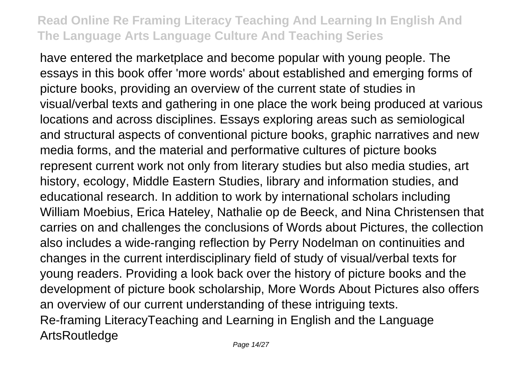have entered the marketplace and become popular with young people. The essays in this book offer 'more words' about established and emerging forms of picture books, providing an overview of the current state of studies in visual/verbal texts and gathering in one place the work being produced at various locations and across disciplines. Essays exploring areas such as semiological and structural aspects of conventional picture books, graphic narratives and new media forms, and the material and performative cultures of picture books represent current work not only from literary studies but also media studies, art history, ecology, Middle Eastern Studies, library and information studies, and educational research. In addition to work by international scholars including William Moebius, Erica Hateley, Nathalie op de Beeck, and Nina Christensen that carries on and challenges the conclusions of Words about Pictures, the collection also includes a wide-ranging reflection by Perry Nodelman on continuities and changes in the current interdisciplinary field of study of visual/verbal texts for young readers. Providing a look back over the history of picture books and the development of picture book scholarship, More Words About Pictures also offers an overview of our current understanding of these intriguing texts. Re-framing LiteracyTeaching and Learning in English and the Language **ArtsRoutledge**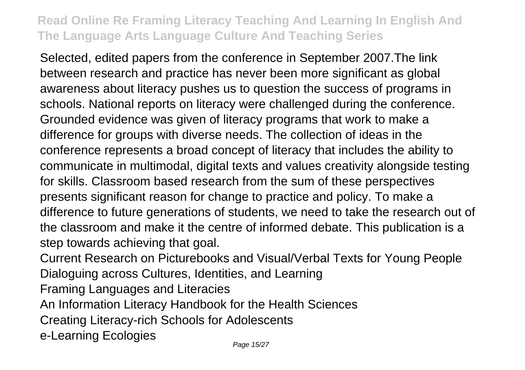Selected, edited papers from the conference in September 2007.The link between research and practice has never been more significant as global awareness about literacy pushes us to question the success of programs in schools. National reports on literacy were challenged during the conference. Grounded evidence was given of literacy programs that work to make a difference for groups with diverse needs. The collection of ideas in the conference represents a broad concept of literacy that includes the ability to communicate in multimodal, digital texts and values creativity alongside testing for skills. Classroom based research from the sum of these perspectives presents significant reason for change to practice and policy. To make a difference to future generations of students, we need to take the research out of the classroom and make it the centre of informed debate. This publication is a step towards achieving that goal.

Current Research on Picturebooks and Visual/Verbal Texts for Young People Dialoguing across Cultures, Identities, and Learning

- Framing Languages and Literacies
- An Information Literacy Handbook for the Health Sciences
- Creating Literacy-rich Schools for Adolescents
- e-Learning Ecologies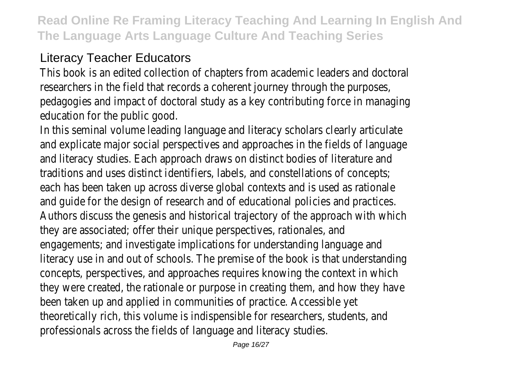#### Literacy Teacher Educators

This book is an edited collection of chapters from academic leaders and doctoral researchers in the field that records a coherent journey through the purposes, pedagogies and impact of doctoral study as a key contributing force in managing education for the public good.

In this seminal volume leading language and literacy scholars clearly articulate and explicate major social perspectives and approaches in the fields of language and literacy studies. Each approach draws on distinct bodies of literature and traditions and uses distinct identifiers, labels, and constellations of concepts; each has been taken up across diverse global contexts and is used as rationale and guide for the design of research and of educational policies and practices. Authors discuss the genesis and historical trajectory of the approach with which they are associated; offer their unique perspectives, rationales, and engagements; and investigate implications for understanding language and literacy use in and out of schools. The premise of the book is that understanding concepts, perspectives, and approaches requires knowing the context in which they were created, the rationale or purpose in creating them, and how they have been taken up and applied in communities of practice. Accessible yet theoretically rich, this volume is indispensible for researchers, students, and professionals across the fields of language and literacy studies.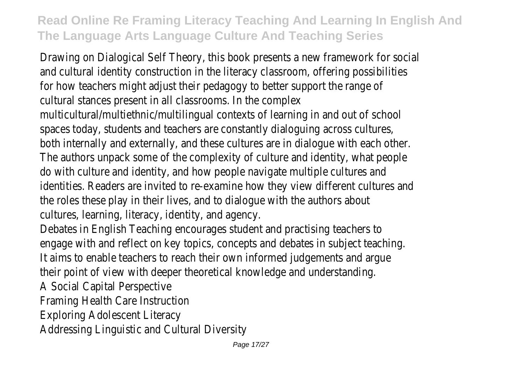Drawing on Dialogical Self Theory, this book presents a new framework for social and cultural identity construction in the literacy classroom, offering possibilities for how teachers might adjust their pedagogy to better support the range of cultural stances present in all classrooms. In the complex

multicultural/multiethnic/multilingual contexts of learning in and out of school spaces today, students and teachers are constantly dialoguing across cultures, both internally and externally, and these cultures are in dialogue with each other. The authors unpack some of the complexity of culture and identity, what people do with culture and identity, and how people navigate multiple cultures and identities. Readers are invited to re-examine how they view different cultures and the roles these play in their lives, and to dialogue with the authors about cultures, learning, literacy, identity, and agency.

Debates in English Teaching encourages student and practising teachers to engage with and reflect on key topics, concepts and debates in subject teaching. It aims to enable teachers to reach their own informed judgements and argue their point of view with deeper theoretical knowledge and understanding.

- A Social Capital Perspective
- Framing Health Care Instruction
- Exploring Adolescent Literacy
- Addressing Linguistic and Cultural Diversity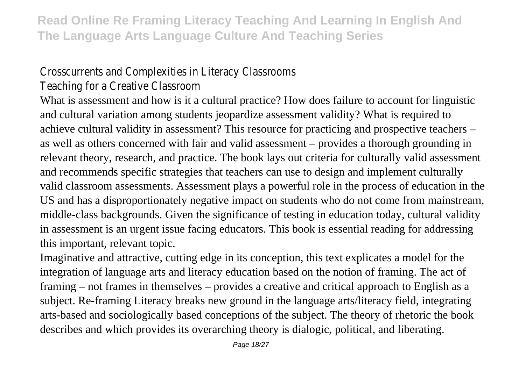#### Crosscurrents and Complexities in Literacy Classrooms

Teaching for a Creative Classroom

What is assessment and how is it a cultural practice? How does failure to account for linguistic and cultural variation among students jeopardize assessment validity? What is required to achieve cultural validity in assessment? This resource for practicing and prospective teachers – as well as others concerned with fair and valid assessment – provides a thorough grounding in relevant theory, research, and practice. The book lays out criteria for culturally valid assessment and recommends specific strategies that teachers can use to design and implement culturally valid classroom assessments. Assessment plays a powerful role in the process of education in the US and has a disproportionately negative impact on students who do not come from mainstream, middle-class backgrounds. Given the significance of testing in education today, cultural validity in assessment is an urgent issue facing educators. This book is essential reading for addressing this important, relevant topic.

Imaginative and attractive, cutting edge in its conception, this text explicates a model for the integration of language arts and literacy education based on the notion of framing. The act of framing – not frames in themselves – provides a creative and critical approach to English as a subject. Re-framing Literacy breaks new ground in the language arts/literacy field, integrating arts-based and sociologically based conceptions of the subject. The theory of rhetoric the book describes and which provides its overarching theory is dialogic, political, and liberating.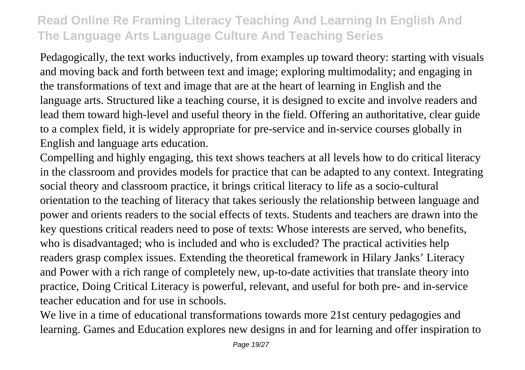Pedagogically, the text works inductively, from examples up toward theory: starting with visuals and moving back and forth between text and image; exploring multimodality; and engaging in the transformations of text and image that are at the heart of learning in English and the language arts. Structured like a teaching course, it is designed to excite and involve readers and lead them toward high-level and useful theory in the field. Offering an authoritative, clear guide to a complex field, it is widely appropriate for pre-service and in-service courses globally in English and language arts education.

Compelling and highly engaging, this text shows teachers at all levels how to do critical literacy in the classroom and provides models for practice that can be adapted to any context. Integrating social theory and classroom practice, it brings critical literacy to life as a socio-cultural orientation to the teaching of literacy that takes seriously the relationship between language and power and orients readers to the social effects of texts. Students and teachers are drawn into the key questions critical readers need to pose of texts: Whose interests are served, who benefits, who is disadvantaged; who is included and who is excluded? The practical activities help readers grasp complex issues. Extending the theoretical framework in Hilary Janks' Literacy and Power with a rich range of completely new, up-to-date activities that translate theory into practice, Doing Critical Literacy is powerful, relevant, and useful for both pre- and in-service teacher education and for use in schools.

We live in a time of educational transformations towards more 21st century pedagogies and learning. Games and Education explores new designs in and for learning and offer inspiration to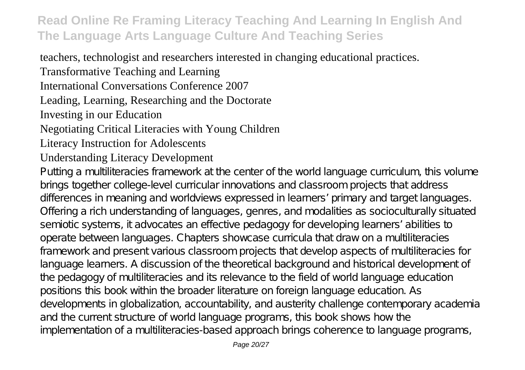#### teachers, technologist and researchers interested in changing educational practices.

Transformative Teaching and Learning

International Conversations Conference 2007

Leading, Learning, Researching and the Doctorate

Investing in our Education

#### Negotiating Critical Literacies with Young Children

#### Literacy Instruction for Adolescents

#### Understanding Literacy Development

Putting a multiliteracies framework at the center of the world language curriculum, this volume brings together college-level curricular innovations and classroom projects that address differences in meaning and worldviews expressed in learners' primary and target languages. Offering a rich understanding of languages, genres, and modalities as socioculturally situated semiotic systems, it advocates an effective pedagogy for developing learners' abilities to operate between languages. Chapters showcase curricula that draw on a multiliteracies framework and present various classroom projects that develop aspects of multiliteracies for language learners. A discussion of the theoretical background and historical development of the pedagogy of multiliteracies and its relevance to the field of world language education positions this book within the broader literature on foreign language education. As developments in globalization, accountability, and austerity challenge contemporary academia and the current structure of world language programs, this book shows how the implementation of a multiliteracies-based approach brings coherence to language programs,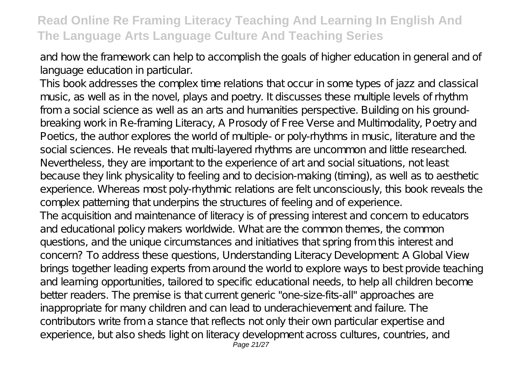and how the framework can help to accomplish the goals of higher education in general and of language education in particular.

This book addresses the complex time relations that occur in some types of jazz and classical music, as well as in the novel, plays and poetry. It discusses these multiple levels of rhythm from a social science as well as an arts and humanities perspective. Building on his groundbreaking work in Re-framing Literacy, A Prosody of Free Verse and Multimodality, Poetry and Poetics, the author explores the world of multiple- or poly-rhythms in music, literature and the social sciences. He reveals that multi-layered rhythms are uncommon and little researched. Nevertheless, they are important to the experience of art and social situations, not least because they link physicality to feeling and to decision-making (timing), as well as to aesthetic experience. Whereas most poly-rhythmic relations are felt unconsciously, this book reveals the complex patterning that underpins the structures of feeling and of experience. The acquisition and maintenance of literacy is of pressing interest and concern to educators and educational policy makers worldwide. What are the common themes, the common questions, and the unique circumstances and initiatives that spring from this interest and concern? To address these questions, Understanding Literacy Development: A Global View brings together leading experts from around the world to explore ways to best provide teaching and learning opportunities, tailored to specific educational needs, to help all children become better readers. The premise is that current generic "one-size-fits-all" approaches are inappropriate for many children and can lead to underachievement and failure. The contributors write from a stance that reflects not only their own particular expertise and experience, but also sheds light on literacy development across cultures, countries, and Page 21/27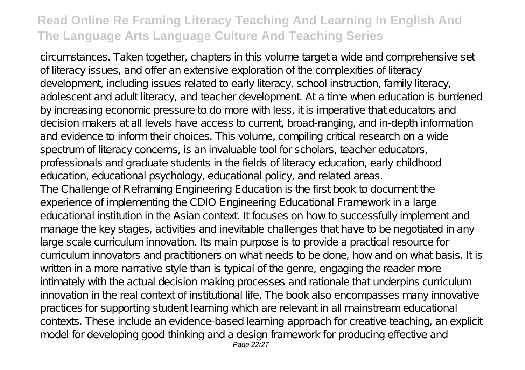circumstances. Taken together, chapters in this volume target a wide and comprehensive set of literacy issues, and offer an extensive exploration of the complexities of literacy development, including issues related to early literacy, school instruction, family literacy, adolescent and adult literacy, and teacher development. A ta time when education is burdened by increasing economic pressure to do more with less, it is imperative that educators and decision makers at all levels have access to current, broad-ranging, and in-depth information and evidence to inform their choices. This volume, compiling critical research on a wide spectrum of literacy concerns, is an invaluable tool for scholars, teacher educators, professionals and graduate students in the fields of literacy education, early childhood education, educational psychology, educational policy, and related areas. The Challenge of Reframing Engineering Education is the first book to document the experience of implementing the CDIO Engineering Educational Framework in a large educational institution in the Asian context. It focuses on how to successfully implement and manage the key stages, activities and inevitable challenges that have to be negotiated in any large scale curriculum innovation. Its main purpose is to provide a practical resource for curriculum innovators and practitioners on what needs to be done, how and on what basis. It is written in a more narrative style than is typical of the genre, engaging the reader more intimately with the actual decision making processes and rationale that underpins curriculum innovation in the real context of institutional life. The book also encompasses many innovative practices for supporting student learning which are relevant in all mainstream educational contexts. These include an evidence-based learning approach for creative teaching, an explicit model for developing good thinking and a design framework for producing effective and Page 22/27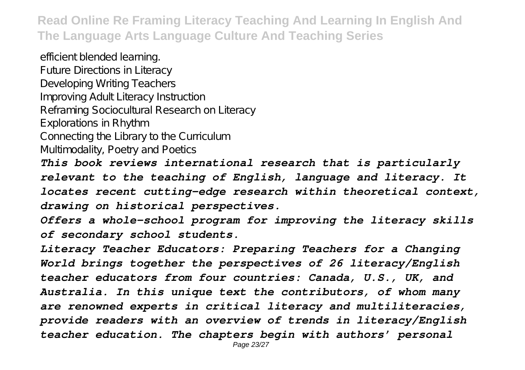efficient blended learning.

Future Directions in Literacy

Developing Writing Teachers

Improving Adult Literacy Instruction

Reframing Sociocultural Research on Literacy

Explorations in Rhythm

Connecting the Library to the Curriculum

Multimodality, Poetry and Poetics

*This book reviews international research that is particularly relevant to the teaching of English, language and literacy. It locates recent cutting-edge research within theoretical context, drawing on historical perspectives.*

*Offers a whole-school program for improving the literacy skills of secondary school students.*

*Literacy Teacher Educators: Preparing Teachers for a Changing World brings together the perspectives of 26 literacy/English teacher educators from four countries: Canada, U.S., UK, and Australia. In this unique text the contributors, of whom many are renowned experts in critical literacy and multiliteracies, provide readers with an overview of trends in literacy/English teacher education. The chapters begin with authors' personal*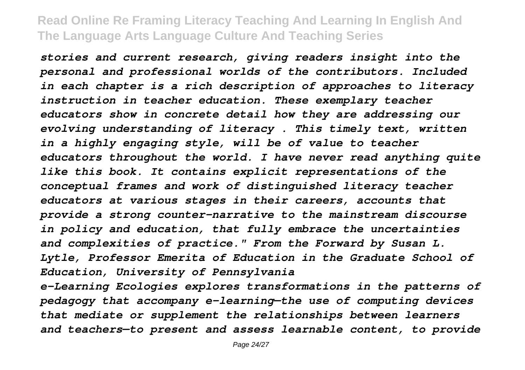*stories and current research, giving readers insight into the personal and professional worlds of the contributors. Included in each chapter is a rich description of approaches to literacy instruction in teacher education. These exemplary teacher educators show in concrete detail how they are addressing our evolving understanding of literacy . This timely text, written in a highly engaging style, will be of value to teacher educators throughout the world. I have never read anything quite like this book. It contains explicit representations of the conceptual frames and work of distinguished literacy teacher educators at various stages in their careers, accounts that provide a strong counter-narrative to the mainstream discourse in policy and education, that fully embrace the uncertainties and complexities of practice." From the Forward by Susan L. Lytle, Professor Emerita of Education in the Graduate School of Education, University of Pennsylvania*

*e-Learning Ecologies explores transformations in the patterns of pedagogy that accompany e-learning—the use of computing devices that mediate or supplement the relationships between learners and teachers—to present and assess learnable content, to provide*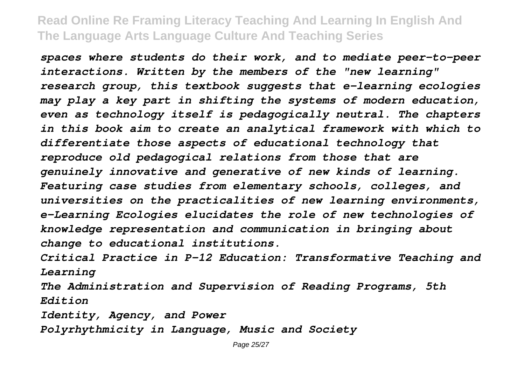*spaces where students do their work, and to mediate peer-to-peer interactions. Written by the members of the "new learning" research group, this textbook suggests that e-learning ecologies may play a key part in shifting the systems of modern education, even as technology itself is pedagogically neutral. The chapters in this book aim to create an analytical framework with which to differentiate those aspects of educational technology that reproduce old pedagogical relations from those that are genuinely innovative and generative of new kinds of learning. Featuring case studies from elementary schools, colleges, and universities on the practicalities of new learning environments, e-Learning Ecologies elucidates the role of new technologies of knowledge representation and communication in bringing about change to educational institutions.*

*Critical Practice in P-12 Education: Transformative Teaching and Learning*

*The Administration and Supervision of Reading Programs, 5th Edition*

*Identity, Agency, and Power Polyrhythmicity in Language, Music and Society*

Page 25/27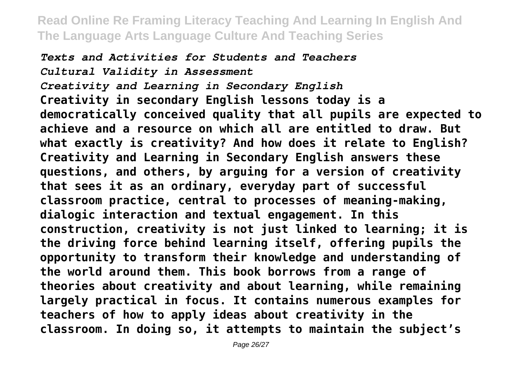*Texts and Activities for Students and Teachers Cultural Validity in Assessment Creativity and Learning in Secondary English* **Creativity in secondary English lessons today is a democratically conceived quality that all pupils are expected to achieve and a resource on which all are entitled to draw. But what exactly is creativity? And how does it relate to English? Creativity and Learning in Secondary English answers these questions, and others, by arguing for a version of creativity that sees it as an ordinary, everyday part of successful classroom practice, central to processes of meaning-making, dialogic interaction and textual engagement. In this construction, creativity is not just linked to learning; it is the driving force behind learning itself, offering pupils the opportunity to transform their knowledge and understanding of the world around them. This book borrows from a range of theories about creativity and about learning, while remaining largely practical in focus. It contains numerous examples for teachers of how to apply ideas about creativity in the classroom. In doing so, it attempts to maintain the subject's**